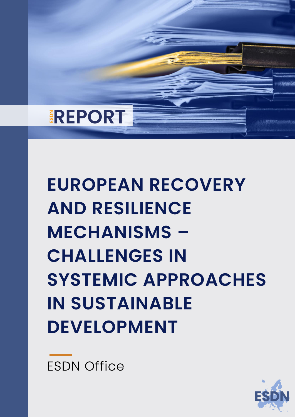

**EUROPEAN RECOVERY AND RESILIENCE MECHANISMS – CHALLENGES IN SYSTEMIC APPROACHES IN SUSTAINABLE DEVELOPMENT** 

ESDN Office

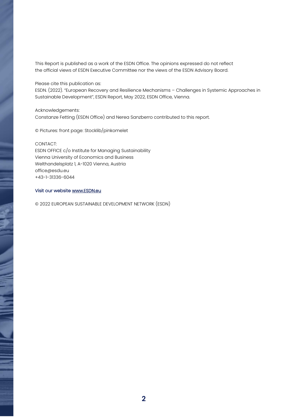This Report is published as a work of the ESDN Office. The opinions expressed do not reflect the official views of ESDN Executive Committee nor the views of the ESDN Advisory Board.

Please cite this publication as:

ESDN. (2022). "European Recovery and Resilience Mechanisms – Challenges in Systemic Approaches in Sustainable Development", ESDN Report, May 2022, ESDN Office, Vienna.

Acknowledgements: Constanze Fetting (ESDN Office) and Nerea Sanzberro contributed to this report.

© Pictures: front page: Stocklib/pinkomelet

CONTACT:

ESDN OFFICE c/o Institute for Managing Sustainability Vienna University of Economics and Business Welthandelsplatz 1, A-1020 Vienna, Austria office@esdu.eu +43-1-31336-6044

#### Visit our websit[e www.ESDN.eu](http://www.esdn.eu/)

© 2022 EUROPEAN SUSTAINABLE DEVELOPMENT NETWORK (ESDN)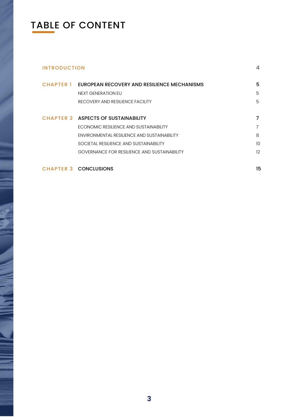## TABLE OF CONTENT

### [INTRODUCTION](#page-3-0) 4 CHAPTER 1 [EUROPEAN RECOVERY AND RESILIENCE MECHANISMS](#page-4-0) 5 NEXT [GENERATION](#page-4-1) EU **5** RECOVERY AND [RESILIENCE](#page-4-2) FACILITY **SECOVERY AND RESILIENCE FACILITY** CHAPTER 2 [ASPECTS OF SUSTAINABILITY 7](#page-6-0) ECONOMIC RESILIENCE AND [SUSTAINABILITY](#page-6-1) **FOUR SECONOMIC RESILIENCE** AND SUSTAINABILITY [ENVIRONMENTAL](#page-7-0) RESILIENCE AND SUSTAINABILITY 8 [SOCIETAL RESILIENCE AND SUSTAINABILITY](#page-9-0) 10 [GOVERNANCE FOR RESILIENCE AND SUSTAINABILITY](#page-11-0) 12

CHAPTER 3 [CONCLUSIONS](#page-14-0) 15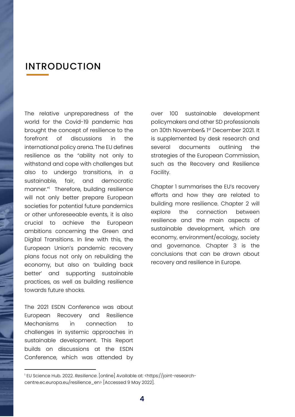#### <span id="page-3-0"></span>INTRODUCTION

The relative unpreparedness of the world for the Covid-19 pandemic has brought the concept of resilience to the forefront of discussions in the international policy arena. The EU defines resilience as the "ability not only to withstand and cope with challenges but also to undergo transitions, in a sustainable, fair, and democratic manner."<sup>1</sup> Therefore, building resilience will not only better prepare European societies for potential future pandemics or other unforeseeable events, it is also crucial to achieve the European ambitions concerning the Green and Digital Transitions. In line with this, the European Union's pandemic recovery plans focus not only on rebuilding the economy, but also on 'building back better' and supporting sustainable practices, as well as building resilience towards future shocks.

The 2021 ESDN Conference was about European Recovery and Resilience Mechanisms in connection to challenges in systemic approaches in sustainable development. This Report builds on discussions at the ESDN Conference, which was attended by

 $\overline{a}$ 

over 100 sustainable development policymakers and other SD professionals on 30th November& 1st December 2021. It is supplemented by desk research and several documents outlining the strategies of the European Commission, such as the Recovery and Resilience Facility.

Chapter 1 summarises the EU's recovery efforts and how they are related to building more resilience. Chapter 2 will explore the connection between resilience and the main aspects of sustainable development, which are economy, environment/ecology, society and governance. Chapter 3 is the conclusions that can be drawn about recovery and resilience in Europe.

<sup>1</sup> EU Science Hub. 2022. *Resilience*. [online] Available at: <https://joint-researchcentre.ec.europa.eu/resilience\_en> [Accessed 9 May 2022].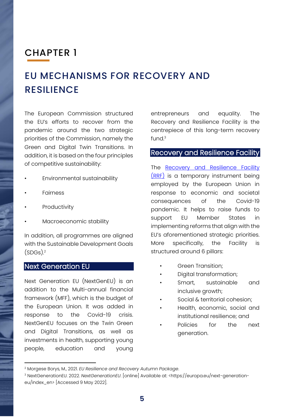### <span id="page-4-0"></span>CHAPTER 1

# EU MECHANISMS FOR RECOVERY AND **RESILIENCE**

The European Commission structured the EU's efforts to recover from the pandemic around the two strategic priorities of the Commission, namely the Green and Digital Twin Transitions. In addition, it is based on the four principles of competitive sustainability:

- Environmental sustainability
- **Fairness**
- **Productivity**
- Macroeconomic stability

In addition, all programmes are aligned with the Sustainable Development Goals  $(SDGS).<sup>2</sup>$ 

#### <span id="page-4-1"></span>Next Generation EU

**.** 

Next Generation EU (NextGenEU) is an addition to the Multi-annual financial framework (MFF), which is the budget of the European Union. It was added in response to the Covid-19 crisis. NextGenEU focuses on the Twin Green and Digital Transitions, as well as investments in health, supporting young people, education and young

entrepreneurs and equality. The Recovery and Resilience Facility is the centrepiece of this long-term recovery fund. $3$ 

#### <span id="page-4-2"></span>Recovery and Resilience Facility

The Recovery and Resilience Facility [\(RRF\)](https://ec.europa.eu/info/business-economy-euro/recovery-coronavirus/recovery-and-resilience-facility_en) is a temporary instrument being employed by the European Union in response to economic and societal consequences of the Covid-19 pandemic. It helps to raise funds to support EU Member States in implementing reforms that align with the EU's aforementioned strategic priorities. More specifically, the Facility is structured around 6 pillars:

- Green Transition;
- Digital transformation;
- Smart, sustainable and inclusive growth;
- Social & territorial cohesion;
- Health, economic, social and institutional resilience; and
- Policies for the next generation.

<sup>2</sup> Morgese Borys, M., 2021. *EU Resilience and Recovery Autumn Package*.

<sup>3</sup> NextGenerationEU. 2022. *NextGenerationEU*. [online] Available at: <https://europa.eu/next-generationeu/index\_en> [Accessed 9 May 2022].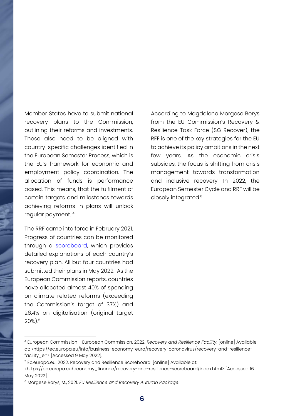Member States have to submit national recovery plans to the Commission, outlining their reforms and investments. These also need to be aligned with country-specific challenges identified in the European Semester Process, which is the EU's framework for economic and employment policy coordination. The allocation of funds is performance based. This means, that the fulfilment of certain targets and milestones towards achieving reforms in plans will unlock regular payment. <sup>4</sup>

The RRF came into force in February 2021. Progress of countries can be monitored through a [scoreboard,](https://ec.europa.eu/economy_finance/recovery-and-resilience-scoreboard/index.html) which provides detailed explanations of each country's recovery plan. All but four countries had submitted their plans in May 2022. As the European Commission reports, countries have allocated almost 40% of spending on climate related reforms (exceeding the Commission's target of 37%) and 26.4% on digitalisation (original target 20%).<sup>5</sup>

**.** 

According to Magdalena Morgese Borys from the EU Commission's Recovery & Resilience Task Force (SG Recover), the RFF is one of the key strategies for the EU to achieve its policy ambitions in the next few years. As the economic crisis subsides, the focus is shifting from crisis management towards transformation and inclusive recovery. In 2022, the European Semester Cycle and RRF will be closely integrated.<sup>6</sup>

<sup>4</sup> European Commission - European Commission. 2022. *Recovery and Resilience Facility*. [online] Available at: <https://ec.europa.eu/info/business-economy-euro/recovery-coronavirus/recovery-and-resiliencefacility\_en> [Accessed 9 May 2022].

<sup>&</sup>lt;sup>5</sup> Ec.europa.eu. 2022. Recovery and Resilience Scoreboard. [online] Available at:

<sup>&</sup>lt;https://ec.europa.eu/economy\_finance/recovery-and-resilience-scoreboard/index.html> [Accessed 16 May 2022].

<sup>6</sup> Morgese Borys, M., 2021. *EU Resilience and Recovery Autumn Package*.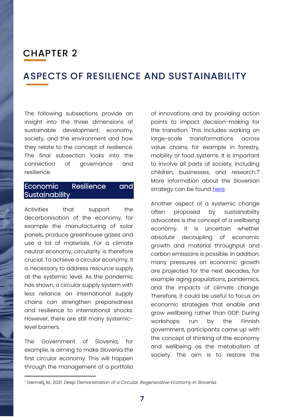### <span id="page-6-0"></span>CHAPTER 2

#### ASPECTS OF RESILIENCE AND SUSTAINABILITY

The following subsections provide an insight into the three dimensions of sustainable development; economy, society, and the environment and how they relate to the concept of resilience. The final subsection looks into the connection of governance and resilience.

#### <span id="page-6-1"></span>Economic Resilience and Sustainability

Activities that support the decarbonisation of the economy, for example the manufacturing of solar panels, produce greenhouse gases and use a lot of materials. For a climate neutral economy, circularity is therefore crucial. To achieve a circular economy, it is necessary to address resource supply at the systemic level. As the pandemic has shown, a circular supply system with less reliance on international supply chains can strengthen preparedness and resilience to international shocks. However, there are still many systemiclevel barriers.

The Government of Slovenia, for example, is aiming to make Slovenia the first circular economy. This will happen through the management of a portfolio

**.** 

of innovations and by providing action points to impact decision-making for the transition. This includes working on large-scale transformations across value chains, for example in forestry, mobility or food systems. It is important to involve all parts of society, including children, businesses, and research.7 More information about the Slovenian strategy can be found [here.](https://www.esdn.eu/fileadmin/pdf/Conferences/2021_Ljubljana/Presentations/Session_4/Circular_Economy.pdf)

Another aspect of a systemic change often proposed by sustainability advocates is the concept of a wellbeing economy. It is uncertain whether absolute decoupling of economic growth and material throughput and carbon emissions is possible. In addition, many pressures on economic growth are projected for the next decades, for example aging populations, pandemics, and the impacts of climate change. Therefore, it could be useful to focus on economic strategies that enable and grow wellbeing rather than GDP. During workshops run by the Finnish government, participants came up with the concept of thinking of the economy and wellbeing as the metabolism of society. The aim is to restore the

<sup>7</sup> Dermelj, M., 2021. *Deep Demonstration of a Circular, Regenerative Economy in Slovenia*.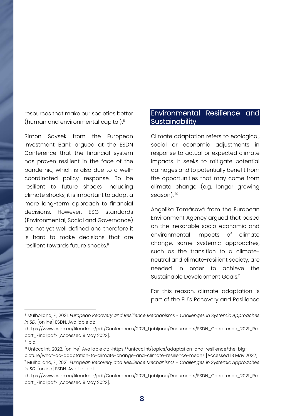resources that make our societies better (human and environmental capital).<sup>8</sup>

Simon Savsek from the European Investment Bank argued at the ESDN Conference that the financial system has proven resilient in the face of the pandemic, which is also due to a wellcoordinated policy response. To be resilient to future shocks, including climate shocks, it is important to adapt a more long-term approach to financial decisions. However, ESG standards (Environmental, Social and Governance) are not yet well defined and therefore it is hard to make decisions that are resilient towards future shocks.<sup>9</sup>

#### <span id="page-7-0"></span>Environmental Resilience and Sustainability

Climate adaptation refers to ecological, social or economic adjustments in response to actual or expected climate impacts. It seeks to mitigate potential damages and to potentially benefit from the opportunities that may come from climate change (e.g. longer growing season).<sup>10</sup>

Angelika Tamásová from the European Environment Agency argued that based on the inexorable socio-economic and environmental impacts of climate change, some systemic approaches, such as the transition to a climateneutral and climate-resilient society, are needed in order to achieve the Sustainable Development Goals.<sup>11</sup>

For this reason, climate adaptation is part of the EU´s Recovery and Resilience

**.** 

<sup>8</sup> Mulholland, E., 2021. *European Recovery and Resilience Mechanisms - Challenges in Systemic Approaches in SD*. [online] ESDN. Available at:

<sup>&</sup>lt;https://www.esdn.eu/fileadmin/pdf/Conferences/2021\_Ljubljana/Documents/ESDN\_Conference\_2021\_Re port\_Final.pdf> [Accessed 9 May 2022].

<sup>&</sup>lt;sup>9</sup> Ibid.

<sup>10</sup> Unfccc.int. 2022. [online] Available at: <https://unfccc.int/topics/adaptation-and-resilience/the-big-

picture/what-do-adaptation-to-climate-change-and-climate-resilience-mean> [Accessed 13 May 2022]. <sup>11</sup> Mulholland, E., 2021. *European Recovery and Resilience Mechanisms - Challenges in Systemic Approaches in SD*. [online] ESDN. Available at:

<sup>&</sup>lt;https://www.esdn.eu/fileadmin/pdf/Conferences/2021\_Ljubljana/Documents/ESDN\_Conference\_2021\_Re port\_Final.pdf> [Accessed 9 May 2022].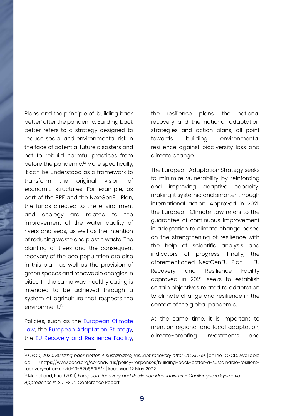Plans, and the principle of 'building back better' after the pandemic. Building back better refers to a strategy designed to reduce social and environmental risk in the face of potential future disasters and not to rebuild harmful practices from before the pandemic.<sup>12</sup> More specifically, it can be understood as a framework to transform the original vision of economic structures. For example, as part of the RRF and the NextGenEU Plan, the funds directed to the environment and ecology are related to the improvement of the water quality of rivers and seas, as well as the intention of reducing waste and plastic waste. The planting of trees and the consequent recovery of the bee population are also in this plan, as well as the provision of green spaces and renewable energies in cities. In the same way, healthy eating is intended to be achieved through a system of agriculture that respects the environment.<sup>13</sup>

Policies, such as the **European Climate** [Law,](https://ec.europa.eu/clima/eu-action/european-green-deal/european-climate-law_es) the **European Adaptation Strategy**, the [EU Recovery and Resilience Facility,](https://ec.europa.eu/info/business-economy-euro/recovery-coronavirus/recovery-and-resilience-facility_en)

**.** 

the resilience plans, the national recovery and the national adaptation strategies and action plans, all point towards building environmental resilience against biodiversity loss and climate change.

The European Adaptation Strategy seeks to minimize vulnerability by reinforcing and improving adaptive capacity; making it systemic and smarter through international action. Approved in 2021, the European Climate Law refers to the guarantee of continuous improvement in adaptation to climate change based on the strengthening of resilience with the help of scientific analysis and indicators of progress. Finally, the aforementioned NextGenEU Plan - EU Recovery and Resilience Facility approved in 2021, seeks to establish certain objectives related to adaptation to climate change and resilience in the context of the global pandemic.

At the same time, it is important to mention regional and local adaptation, climate-proofing investments and

<sup>&</sup>lt;sup>12</sup> OECD, 2020. *Building back better: A sustainable, resilient recovery after COVID-19.* [online] OECD. Available at: <https://www.oecd.org/coronavirus/policy-responses/building-back-better-a-sustainable-resilientrecovery-after-covid-19-52b869f5/> [Accessed 12 May 2022].

<sup>&</sup>lt;sup>13</sup> Mulholland, Eric. (2021) *European Recovery and Resilience Mechanisms - Challenges in Systemic Approaches in SD*. ESDN Conference Report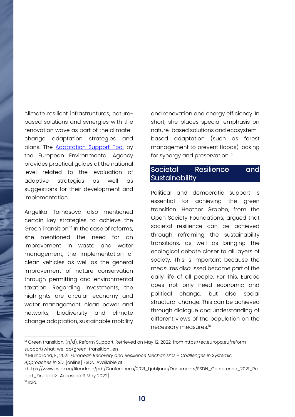climate resilient infrastructures, naturebased solutions and synergies with the renovation wave as part of the climatechange adaptation strategies and plans. The **[Adaptation Support Tool](https://climate-adapt.eea.europa.eu/knowledge/tools/adaptation-support-tool)** by the European Environmental Agency provides practical guides at the national level related to the evaluation of adaptive strategies as well as suggestions for their development and implementation.

Angelika Tamásová also mentioned certain key strategies to achieve the Green Transition.<sup>14</sup> In the case of reforms, she mentioned the need for an improvement in waste and water management, the implementation of clean vehicles as well as the general improvement of nature conservation through permitting and environmental taxation. Regarding investments, the highlights are circular economy and water management, clean power and networks, biodiversity and climate change adaptation, sustainable mobility

and renovation and energy efficiency. In short, she places special emphasis on nature-based solutions and ecosystembased adaptation (such as forest management to prevent floods) looking for synergy and preservation.<sup>15</sup>

#### <span id="page-9-0"></span>Societal Resilience and **Sustainability**

Political and democratic support is essential for achieving the green transition. Heather Grabbe, from the Open Society Foundations, argued that societal resilience can be achieved through reframing the sustainability transitions, as well as bringing the ecological debate closer to all layers of society. This is important because the measures discussed become part of the daily life of all people. For this, Europe does not only need economic and political change, but also social structural change. This can be achieved through dialogue and understanding of different views of the population on the necessary measures.16

**.** 

<sup>14</sup> Green transition. (n/d). Reform Support. Retrieved on May 12, 2022, from https://ec.europa.eu/reformsupport/what-we-do/green-transition\_en

<sup>15</sup> Mulholland, E., 2021. *European Recovery and Resilience Mechanisms - Challenges in Systemic Approaches in SD*. [online] ESDN. Available at:

<sup>&</sup>lt;https://www.esdn.eu/fileadmin/pdf/Conferences/2021\_Ljubljana/Documents/ESDN\_Conference\_2021\_Re port\_Final.pdf> [Accessed 9 May 2022].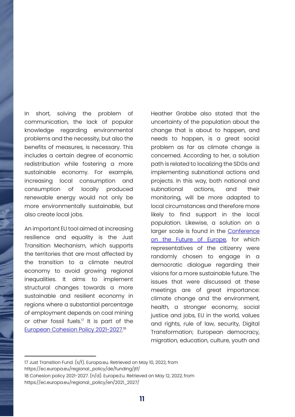In short, solving the problem of communication, the lack of popular knowledge regarding environmental problems and the necessity, but also the benefits of measures, is necessary. This includes a certain degree of economic redistribution while fostering a more sustainable economy. For example, increasing local consumption and consumption of locally produced renewable energy would not only be more environmentally sustainable, but also create local jobs.

An important EU tool aimed at increasing resilience and equality is the Just Transition Mechanism, which supports the territories that are most affected by the transition to a climate neutral economy to avoid growing regional inequalities. It aims to implement structural changes towards a more sustainable and resilient economy in regions where a substantial percentage of employment depends on coal mining or other fossil fuels.<sup>17</sup> It is part of the [European Cohesion Policy 2021-2027.](https://ec.europa.eu/regional_policy/en/2021_2027/) 18

 $\overline{a}$ 

Heather Grabbe also stated that the uncertainty of the population about the change that is about to happen, and needs to happen, is a great social problem as far as climate change is concerned. According to her, a solution path is related to localizing the SDGs and implementing subnational actions and projects. In this way, both national and subnational actions, and their monitoring, will be more adapted to local circumstances and therefore more likely to find support in the local population. Likewise, a solution on a larger scale is found in the **Conference** [on the Future of Europe,](https://futureu.europa.eu/?locale=en) for which representatives of the citizenry were randomly chosen to engage in a democratic dialogue regarding their visions for a more sustainable future. The issues that were discussed at these meetings are of great importance: climate change and the environment, health, a stronger economy, social justice and jobs, EU in the world, values and rights, rule of law, security, Digital Transformation; European democracy, migration, education, culture, youth and

17 Just Transition Fund. (s/f). Europa.eu. Retrieved on May 10, 2022, from https://ec.europa.eu/regional\_policy/de/funding/jtf/ 18 Cohesion policy 2021-2027. (n/d). Europe.Eu. Retrieved on May 12, 2022, from https://ec.europa.eu/regional\_policy/en/2021\_2027/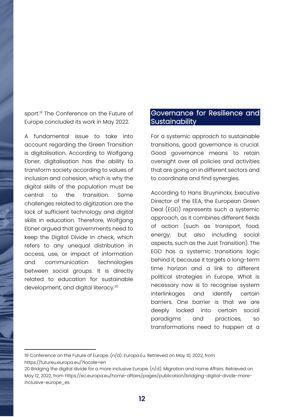sport.<sup>19</sup> The Conference on the Future of Europe concluded its work in May 2022.

A fundamental issue to take into account regarding the Green Transition is digitalisation. According to Wolfgang Ebner, digitalisation has the ability to transform society according to values of inclusion and cohesion, which is why the digital skills of the population must be central to the transition. Some challenges related to digitization are the lack of sufficient technology and digital skills in education. Therefore, Wolfgang Ebner argued that governments need to keep the Digital Divide in check, which refers to any unequal distribution in access, use, or impact of information and communication technologies between social groups. It is directly related to education for sustainable development, and digital literacy.<sup>20</sup>

**.** 

#### <span id="page-11-0"></span>Governance for Resilience and **Sustainability**

For a systemic approach to sustainable transitions, good governance is crucial. Good governance means to retain oversight over all policies and activities that are going on in different sectors and to coordinate and find synergies.

According to Hans Bruyninckx, Executive Director of the EEA, the European Green Deal (EGD) represents such a systemic approach, as it combines different fields of action (such as transport, food, energy, but also including social aspects, such as the Just Transition). The EGD has a systemic transitions logic behind it, because it targets a long-term time horizon and a link to different political strategies in Europe. What is necessary now is to recognise system interlinkages and identify certain barriers. One barrier is that we are deeply locked into certain social paradigms and practices, so transformations need to happen at a

<sup>19</sup> Conference on the Future of Europe. (n/d). Europa.Eu. Retrieved on May 10, 2022, from <https://futureu.europa.eu/?locale=en>

<sup>20</sup> Bridging the digital divide for a more inclusive Europe. (n/d). Migration and Home Affairs. Retrieved on May 12, 2022, from https://ec.europa.eu/home-affairs/pages/publication/bridging-digital-divide-moreinclusive-europe\_es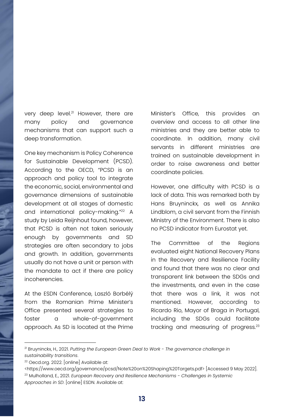very deep level.<sup>21</sup> However, there are many policy and governance mechanisms that can support such a deep transformation.

One key mechanism is Policy Coherence for Sustainable Development (PCSD). According to the OECD, "PCSD is an approach and policy tool to integrate the economic, social, environmental and governance dimensions of sustainable development at all stages of domestic and international policy-making."<sup>22</sup> A study by Leida Reijnhout found, however, that PCSD is often not taken seriously enough by governments and SD strategies are often secondary to jobs and growth. In addition, governments usually do not have a unit or person with the mandate to act if there are policy incoherencies.

At the ESDN Conference, Laszló Borbélý from the Romanian Prime Minister's Office presented several strategies to foster a whole-of-government approach. As SD is located at the Prime Minister's Office, this provides an overview and access to all other line ministries and they are better able to coordinate. In addition, many civil servants in different ministries are trained on sustainable development in order to raise awareness and better coordinate policies.

However, one difficulty with PCSD is a lack of data. This was remarked both by Hans Bruyninckx, as well as Annika Lindblom, a civil servant from the Finnish Ministry of the Environment. There is also no PCSD indicator from Eurostat yet.

The Committee of the Regions evaluated eight National Recovery Plans in the Recovery and Resilience Facility and found that there was no clear and transparent link between the SDGs and the investments, and even in the case that there was a link, it was not mentioned. However, according to Ricardo Rio, Mayor of Braga in Portugal, including the SDGs could facilitate tracking and measuring of progress.<sup>23</sup>

 $\overline{a}$ 

<sup>21</sup> Bruyninckx, H., 2021. *Putting the European Green Deal to Work - The governance challenge in sustainability transitions*.

<sup>22</sup> Oecd.org. 2022. [online] Available at:

<sup>&</sup>lt;https://www.oecd.org/governance/pcsd/Note%20on%20Shaping%20Targets.pdf> [Accessed 9 May 2022].

<sup>23</sup> Mulholland, E., 2021. *European Recovery and Resilience Mechanisms - Challenges in Systemic Approaches in SD*. [online] ESDN. Available at: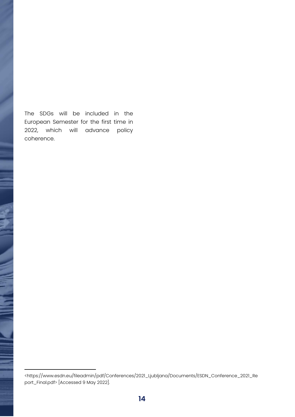The SDGs will be included in the European Semester for the first time in 2022, which will advance policy coherence.

 $\overline{a}$ 

<sup>&</sup>lt;https://www.esdn.eu/fileadmin/pdf/Conferences/2021\_Ljubljana/Documents/ESDN\_Conference\_2021\_Re port\_Final.pdf> [Accessed 9 May 2022].